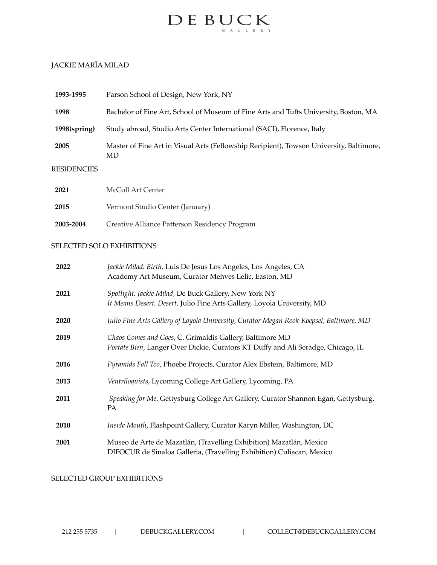

# JACKIE MARĪA MILAD

| 1993-1995    | Parson School of Design, New York, NY                                                         |
|--------------|-----------------------------------------------------------------------------------------------|
| 1998         | Bachelor of Fine Art, School of Museum of Fine Arts and Tufts University, Boston, MA          |
| 1998(spring) | Study abroad, Studio Arts Center International (SACI), Florence, Italy                        |
| 2005         | Master of Fine Art in Visual Arts (Fellowship Recipient), Towson University, Baltimore,<br>MD |
| RESIDENCIES  |                                                                                               |
| 2021         | McColl Art Center                                                                             |
| 2015         | Vermont Studio Center (January)                                                               |

**2003-2004** Creative Alliance Patterson Residency Program

## SELECTED SOLO EXHIBITIONS

| 2022 | Jackie Milad: Birth, Luis De Jesus Los Angeles, Los Angeles, CA                         |
|------|-----------------------------------------------------------------------------------------|
|      | Academy Art Museum, Curator Mehves Lelic, Easton, MD                                    |
| 2021 | Spotlight: Jackie Milad, De Buck Gallery, New York NY                                   |
|      | It Means Desert, Desert, Julio Fine Arts Gallery, Loyola University, MD                 |
| 2020 | Julio Fine Arts Gallery of Loyola University, Curator Megan Rook-Koepsel, Baltimore, MD |
| 2019 | Chaos Comes and Goes, C. Grimaldis Gallery, Baltimore MD                                |
|      | Portate Bien, Langer Over Dickie, Curators KT Duffy and Ali Seradge, Chicago, IL        |
| 2016 | Pyramids Fall Too, Phoebe Projects, Curator Alex Ebstein, Baltimore, MD                 |
| 2013 | Ventriloquists, Lycoming College Art Gallery, Lycoming, PA                              |
| 2011 | Speaking for Me, Gettysburg College Art Gallery, Curator Shannon Egan, Gettysburg,      |
|      | PA                                                                                      |
| 2010 | Inside Mouth, Flashpoint Gallery, Curator Karyn Miller, Washington, DC                  |
| 2001 | Museo de Arte de Mazatlán, (Travelling Exhibition) Mazatlán, Mexico                     |
|      | DIFOCUR de Sinaloa Galleria, (Travelling Exhibition) Culiacan, Mexico                   |

#### SELECTED GROUP EXHIBITIONS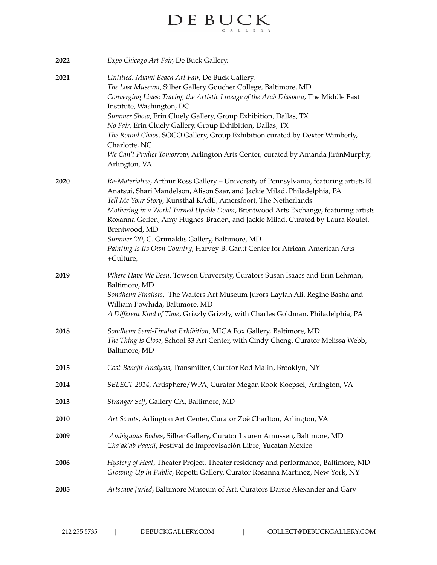# $\label{eq:decomp} \begin{array}{ll} \hspace{-3mm} \textbf{D} \, \textbf{E} \, \hspace{0.1cm} \textbf{B} \, \textbf{U} \, \textbf{C} \, \textbf{K} \\ \hspace{-3mm} \textbf{E} \, \hspace{0.1cm} \textbf{E} \, \textbf{E} \, \textbf{K} \end{array}$

| 2022 | Expo Chicago Art Fair, De Buck Gallery.                                                                                                                                                                                                                                                                                                                                                                                                                                                                                                                                         |
|------|---------------------------------------------------------------------------------------------------------------------------------------------------------------------------------------------------------------------------------------------------------------------------------------------------------------------------------------------------------------------------------------------------------------------------------------------------------------------------------------------------------------------------------------------------------------------------------|
| 2021 | Untitled: Miami Beach Art Fair, De Buck Gallery.<br>The Lost Museum, Silber Gallery Goucher College, Baltimore, MD<br>Converging Lines: Tracing the Artistic Lineage of the Arab Diaspora, The Middle East<br>Institute, Washington, DC<br>Summer Show, Erin Cluely Gallery, Group Exhibition, Dallas, TX<br>No Fair, Erin Cluely Gallery, Group Exhibition, Dallas, TX<br>The Round Chaos, SOCO Gallery, Group Exhibition curated by Dexter Wimberly,<br>Charlotte, NC<br>We Can't Predict Tomorrow, Arlington Arts Center, curated by Amanda JirónMurphy,<br>Arlington, VA    |
| 2020 | Re-Materialize, Arthur Ross Gallery - University of Pennsylvania, featuring artists El<br>Anatsui, Shari Mandelson, Alison Saar, and Jackie Milad, Philadelphia, PA<br>Tell Me Your Story, Kunsthal KAdE, Amersfoort, The Netherlands<br>Mothering in a World Turned Upside Down, Brentwood Arts Exchange, featuring artists<br>Roxanna Geffen, Amy Hughes-Braden, and Jackie Milad, Curated by Laura Roulet,<br>Brentwood, MD<br>Summer '20, C. Grimaldis Gallery, Baltimore, MD<br>Painting Is Its Own Country, Harvey B. Gantt Center for African-American Arts<br>+Culture, |
| 2019 | Where Have We Been, Towson University, Curators Susan Isaacs and Erin Lehman,<br>Baltimore, MD<br>Sondheim Finalists, The Walters Art Museum Jurors Laylah Ali, Regine Basha and<br>William Powhida, Baltimore, MD<br>A Different Kind of Time, Grizzly Grizzly, with Charles Goldman, Philadelphia, PA                                                                                                                                                                                                                                                                         |
| 2018 | Sondheim Semi-Finalist Exhibition, MICA Fox Gallery, Baltimore, MD<br>The Thing is Close, School 33 Art Center, with Cindy Cheng, Curator Melissa Webb,<br>Baltimore, MD                                                                                                                                                                                                                                                                                                                                                                                                        |
| 2015 | Cost-Benefit Analysis, Transmitter, Curator Rod Malin, Brooklyn, NY                                                                                                                                                                                                                                                                                                                                                                                                                                                                                                             |
| 2014 | SELECT 2014, Artisphere/WPA, Curator Megan Rook-Koepsel, Arlington, VA                                                                                                                                                                                                                                                                                                                                                                                                                                                                                                          |
| 2013 | Stranger Self, Gallery CA, Baltimore, MD                                                                                                                                                                                                                                                                                                                                                                                                                                                                                                                                        |
| 2010 | Art Scouts, Arlington Art Center, Curator Zoë Charlton, Arlington, VA                                                                                                                                                                                                                                                                                                                                                                                                                                                                                                           |
| 2009 | Ambiguous Bodies, Silber Gallery, Curator Lauren Amussen, Baltimore, MD<br>Cha'ak'ab Paaxil, Festival de Improvisación Libre, Yucatan Mexico                                                                                                                                                                                                                                                                                                                                                                                                                                    |
| 2006 | Hystery of Heat, Theater Project, Theater residency and performance, Baltimore, MD<br>Growing Up in Public, Repetti Gallery, Curator Rosanna Martinez, New York, NY                                                                                                                                                                                                                                                                                                                                                                                                             |
| 2005 | Artscape Juried, Baltimore Museum of Art, Curators Darsie Alexander and Gary                                                                                                                                                                                                                                                                                                                                                                                                                                                                                                    |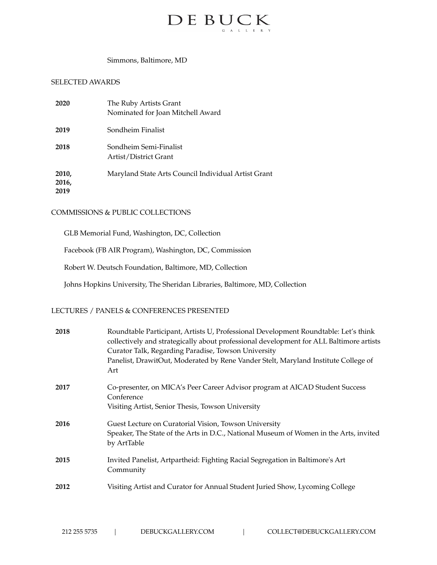

#### Simmons, Baltimore, MD

## SELECTED AWARDS

| 2020                   | The Ruby Artists Grant<br>Nominated for Joan Mitchell Award |
|------------------------|-------------------------------------------------------------|
| 2019                   | Sondheim Finalist                                           |
| 2018                   | Sondheim Semi-Finalist<br>Artist/District Grant             |
| 2010,<br>2016,<br>2019 | Maryland State Arts Council Individual Artist Grant         |

# COMMISSIONS & PUBLIC COLLECTIONS

GLB Memorial Fund, Washington, DC, Collection

Facebook (FB AIR Program), Washington, DC, Commission

Robert W. Deutsch Foundation, Baltimore, MD, Collection

Johns Hopkins University, The Sheridan Libraries, Baltimore, MD, Collection

# LECTURES / PANELS & CONFERENCES PRESENTED

| 2018 | Roundtable Participant, Artists U, Professional Development Roundtable: Let's think<br>collectively and strategically about professional development for ALL Baltimore artists<br>Curator Talk, Regarding Paradise, Towson University<br>Panelist, DrawitOut, Moderated by Rene Vander Stelt, Maryland Institute College of<br>Art |
|------|------------------------------------------------------------------------------------------------------------------------------------------------------------------------------------------------------------------------------------------------------------------------------------------------------------------------------------|
| 2017 | Co-presenter, on MICA's Peer Career Advisor program at AICAD Student Success<br>Conference<br>Visiting Artist, Senior Thesis, Towson University                                                                                                                                                                                    |
| 2016 | Guest Lecture on Curatorial Vision, Towson University<br>Speaker, The State of the Arts in D.C., National Museum of Women in the Arts, invited<br>by ArtTable                                                                                                                                                                      |
| 2015 | Invited Panelist, Artpartheid: Fighting Racial Segregation in Baltimore's Art<br>Community                                                                                                                                                                                                                                         |
| 2012 | Visiting Artist and Curator for Annual Student Juried Show, Lycoming College                                                                                                                                                                                                                                                       |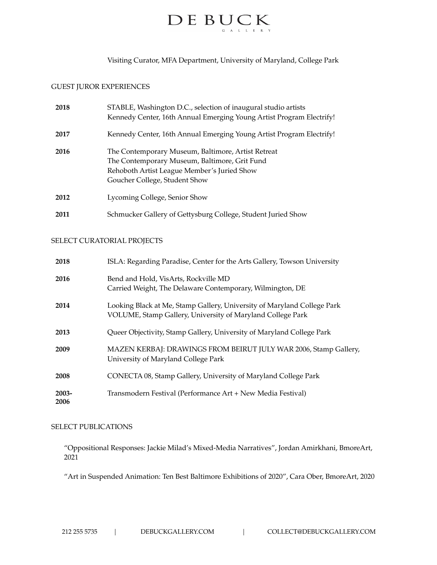

Visiting Curator, MFA Department, University of Maryland, College Park

## GUEST JUROR EXPERIENCES

| 2018 | STABLE, Washington D.C., selection of inaugural studio artists<br>Kennedy Center, 16th Annual Emerging Young Artist Program Electrify!                                              |
|------|-------------------------------------------------------------------------------------------------------------------------------------------------------------------------------------|
| 2017 | Kennedy Center, 16th Annual Emerging Young Artist Program Electrify!                                                                                                                |
| 2016 | The Contemporary Museum, Baltimore, Artist Retreat<br>The Contemporary Museum, Baltimore, Grit Fund<br>Rehoboth Artist League Member's Juried Show<br>Goucher College, Student Show |
| 2012 | Lycoming College, Senior Show                                                                                                                                                       |
| 2011 | Schmucker Gallery of Gettysburg College, Student Juried Show                                                                                                                        |

#### SELECT CURATORIAL PROJECTS

| 2018             | ISLA: Regarding Paradise, Center for the Arts Gallery, Towson University                                                              |
|------------------|---------------------------------------------------------------------------------------------------------------------------------------|
| 2016             | Bend and Hold, VisArts, Rockville MD<br>Carried Weight, The Delaware Contemporary, Wilmington, DE                                     |
| 2014             | Looking Black at Me, Stamp Gallery, University of Maryland College Park<br>VOLUME, Stamp Gallery, University of Maryland College Park |
| 2013             | Queer Objectivity, Stamp Gallery, University of Maryland College Park                                                                 |
| 2009             | MAZEN KERBAJ: DRAWINGS FROM BEIRUT JULY WAR 2006, Stamp Gallery,<br>University of Maryland College Park                               |
| 2008             | CONECTA 08, Stamp Gallery, University of Maryland College Park                                                                        |
| $2003 -$<br>2006 | Transmodern Festival (Performance Art + New Media Festival)                                                                           |

## SELECT PUBLICATIONS

"Oppositional Responses: Jackie Milad's Mixed-Media Narratives", Jordan Amirkhani, BmoreArt, 2021

"Art in Suspended Animation: Ten Best Baltimore Exhibitions of 2020", Cara Ober, BmoreArt, 2020